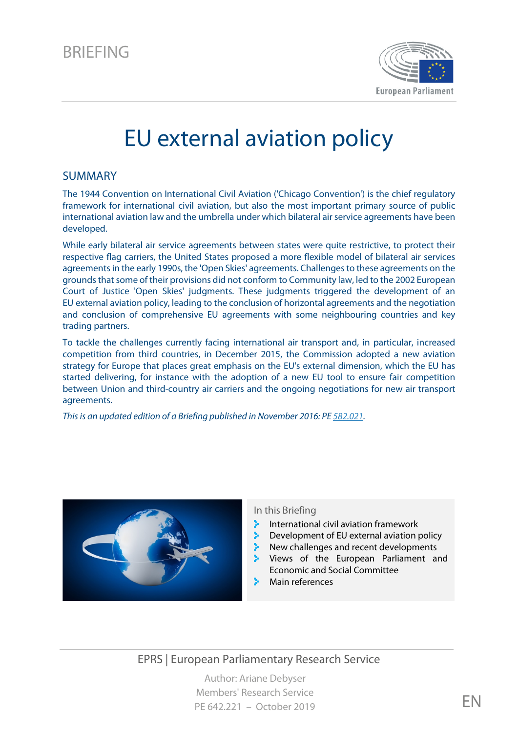

# EU external aviation policy

### SUMMARY

The 1944 Convention on International Civil Aviation ('Chicago Convention') is the chief regulatory framework for international civil aviation, but also the most important primary source of public international aviation law and the umbrella under which bilateral air service agreements have been developed.

While early bilateral air service agreements between states were quite restrictive, to protect their respective flag carriers, the United States proposed a more flexible model of bilateral air services agreementsin the early 1990s, the 'Open Skies' agreements. Challengesto these agreements on the grounds that some of their provisions did not conform to Community law, led to the 2002 European Court of Justice 'Open Skies' judgments. These judgments triggered the development of an EU external aviation policy, leading to the conclusion of horizontal agreements and the negotiation and conclusion of comprehensive EU agreements with some neighbouring countries and key trading partners.

To tackle the challenges currently facing international air transport and, in particular, increased competition from third countries, in December 2015, the Commission adopted a new aviation strategy for Europe that places great emphasis on the EU's external dimension, which the EU has started delivering, for instance with the adoption of a new EU tool to ensure fair competition between Union and third-country air carriers and the ongoing negotiations for new air transport agreements.

*This is an updated edition of a Briefing published in November 2016: P[E 582.021.](https://www.europarl.europa.eu/RegData/etudes/BRIE/2016/582021/EPRS_BRI(2016)582021_EN.pdf)*



#### In this Briefing

- International civil aviation framework
- Development of EU external aviation policy
- New challenges and recent developments
- Views of the European Parliament and Economic and Social Committee
- Main references

EPRS | European Parliamentary Research Service

Author: Ariane Debyser Members' Research Service PE 642.221 – October 2019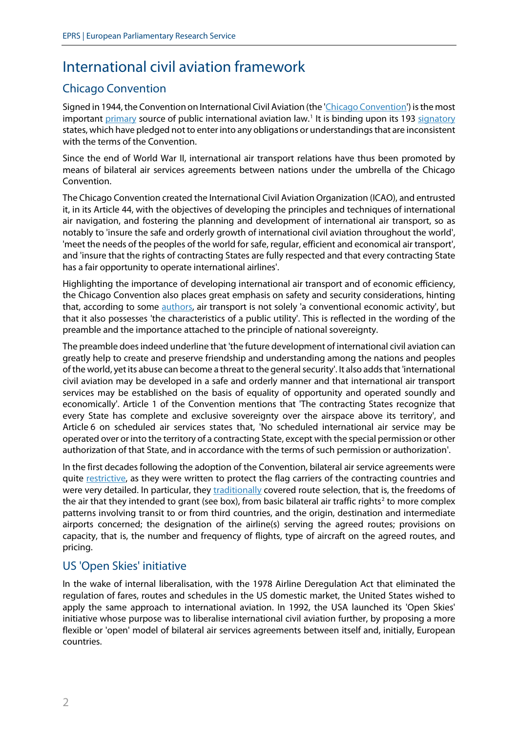# International civil aviation framework

## Chicago Convention

Signed in 1944, the Convention on International Civil Aviation (the ['Chicago Convention'](http://www.icao.int/publications/Documents/7300_cons.pdf)) is the most important [primary](http://www.itf-oecd.org/sites/default/files/docs/dp201518.pdf) source of public international aviation law.<sup>[1](#page-10-0)</sup> It is binding upon its 193 [signatory](http://www.icao.int/secretariat/legal/list%20of%20parties/chicago_en.pdf) states, which have pledged not to enter into any obligations or understandings that are inconsistent with the terms of the Convention.

Since the end of World War II, international air transport relations have thus been promoted by means of bilateral air services agreements between nations under the umbrella of the Chicago Convention.

The Chicago Convention created the International Civil Aviation Organization (ICAO), and entrusted it, in its Article 44, with the objectives of developing the principles and techniques of international air navigation, and fostering the planning and development of international air transport, so as notably to 'insure the safe and orderly growth of international civil aviation throughout the world', 'meet the needs of the peoples of the world for safe, regular, efficient and economical air transport', and 'insure that the rights of contracting States are fully respected and that every contracting State has a fair opportunity to operate international airlines'.

Highlighting the importance of developing international air transport and of economic efficiency, the Chicago Convention also places great emphasis on safety and security considerations, hinting that, according to some [authors,](http://www.itf-oecd.org/sites/default/files/docs/dp201518.pdf) air transport is not solely 'a conventional economic activity', but that it also possesses 'the characteristics of a public utility'. This is reflected in the wording of the preamble and the importance attached to the principle of national sovereignty.

The preamble does indeed underline that 'the future development of international civil aviation can greatly help to create and preserve friendship and understanding among the nations and peoples of the world, yet its abuse can become a threat to the general security'. It also adds that 'international civil aviation may be developed in a safe and orderly manner and that international air transport services may be established on the basis of equality of opportunity and operated soundly and economically'. Article 1 of the Convention mentions that 'The contracting States recognize that every State has complete and exclusive sovereignty over the airspace above its territory', and Article 6 on scheduled air services states that, 'No scheduled international air service may be operated over or into the territory of a contracting State, except with the special permission or other authorization of that State, and in accordance with the terms of such permission or authorization'.

In the first decades following the adoption of the Convention, bilateral air service agreements were quite [restrictive,](http://www.itf-oecd.org/sites/default/files/docs/14airserviceagreements.pdf) as they were written to protect the flag carriers of the contracting countries and were very detailed. In particular, they [traditionally](https://www.fas.org/sgp/crs/misc/R44016.pdf) covered route selection, that is, the freedoms of the air that they intended to grant (see box), from basic bilateral air traffic rights<sup>[2](#page-10-1)</sup> to more complex patterns involving transit to or from third countries, and the origin, destination and intermediate airports concerned; the designation of the airline(s) serving the agreed routes; provisions on capacity, that is, the number and frequency of flights, type of aircraft on the agreed routes, and pricing.

### US 'Open Skies' initiative

In the wake of internal liberalisation, with the 1978 Airline Deregulation Act that eliminated the regulation of fares, routes and schedules in the US domestic market, the United States wished to apply the same approach to international aviation. In 1992, the USA launched its 'Open Skies' initiative whose purpose was to liberalise international civil aviation further, by proposing a more flexible or 'open' model of bilateral air services agreements between itself and, initially, European countries.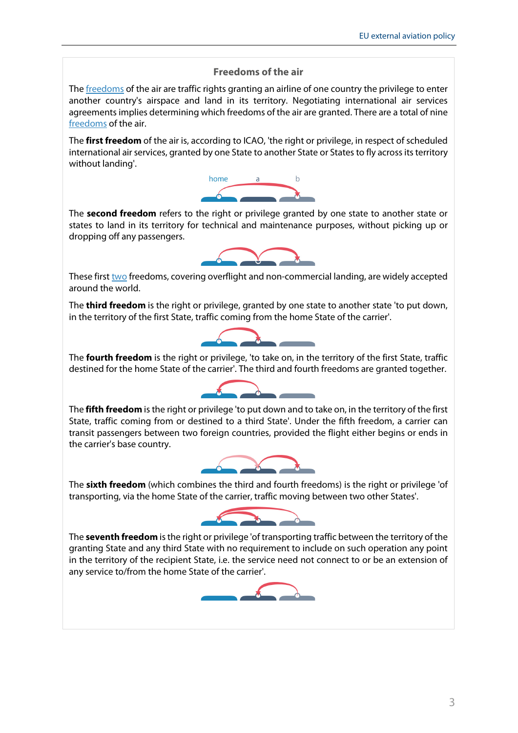#### **Freedoms of the air**

The **freedoms** of the air are traffic rights granting an airline of one country the privilege to enter another country's airspace and land in its territory. Negotiating international air services agreements implies determining which freedoms of the air are granted. There are a total of nine [freedoms](http://www.icao.int/Pages/freedomsAir.aspx) of the air.

The **first freedom** of the air is, according to ICAO, 'the right or privilege, in respect of scheduled international air services, granted by one State to another State or States to fly across its territory without landing'.



The **second freedom** refers to the right or privilege granted by one state to another state or states to land in its territory for technical and maintenance purposes, without picking up or dropping off any passengers.



These firs[t two](https://www.fas.org/sgp/crs/misc/R44016.pdf) freedoms, covering overflight and non-commercial landing, are widely accepted around the world.

The **third freedom** is the right or privilege, granted by one state to another state 'to put down, in the territory of the first State, traffic coming from the home State of the carrier'.



The **fourth freedom** is the right or privilege, 'to take on, in the territory of the first State, traffic destined for the home State of the carrier'. The third and fourth freedoms are granted together.



The **fifth freedom** is the right or privilege 'to put down and to take on, in the territory of the first State, traffic coming from or destined to a third State'. Under the fifth freedom, a carrier can transit passengers between two foreign countries, provided the flight either begins or ends in the carrier's base country.



The **sixth freedom** (which combines the third and fourth freedoms) is the right or privilege 'of transporting, via the home State of the carrier, traffic moving between two other States'.



The **seventh freedom** is the right or privilege 'of transporting traffic between the territory of the granting State and any third State with no requirement to include on such operation any point in the territory of the recipient State, i.e. the service need not connect to or be an extension of any service to/from the home State of the carrier'.

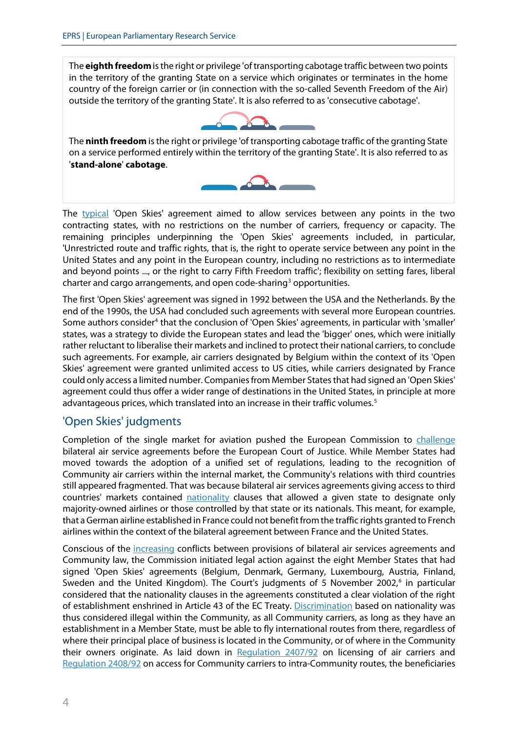The **eighth freedom** is the right or privilege 'of transporting cabotage traffic between two points in the territory of the granting State on a service which originates or terminates in the home country of the foreign carrier or (in connection with the so-called Seventh Freedom of the Air) outside the territory of the granting State'. It is also referred to as 'consecutive cabotage'.



The **ninth freedom** is the right or privilege 'of transporting cabotage traffic of the granting State on a service performed entirely within the territory of the granting State'. It is also referred to as '**stand-alone**' **cabotage**.



The [typical](http://www.itf-oecd.org/sites/default/files/docs/dp201506.pdf) 'Open Skies' agreement aimed to allow services between any points in the two contracting states, with no restrictions on the number of carriers, frequency or capacity. The remaining principles underpinning the 'Open Skies' agreements included, in particular, 'Unrestricted route and traffic rights, that is, the right to operate service between any point in the United States and any point in the European country, including no restrictions as to intermediate and beyond points ..., or the right to carry Fifth Freedom traffic'; flexibility on setting fares, liberal charter and cargo arrangements, and open code-sharing<sup>[3](#page-10-2)</sup> opportunities.

The first 'Open Skies' agreement was signed in 1992 between the USA and the Netherlands. By the end of the 1990s, the USA had concluded such agreements with several more European countries. Some authors consider<sup>[4](#page-10-3)</sup> that the conclusion of 'Open Skies' agreements, in particular with 'smaller' states, was a strategy to divide the European states and lead the 'bigger' ones, which were initially rather reluctant to liberalise their markets and inclined to protect their national carriers, to conclude such agreements. For example, air carriers designated by Belgium within the context of its 'Open Skies' agreement were granted unlimited access to US cities, while carriers designated by France could only access a limited number. Companies from Member States that had signed an 'Open Skies' agreement could thus offer a wider range of destinations in the United States, in principle at more advantageous prices, which translated into an increase in their traffic volumes.<sup>[5](#page-10-4)</sup>

### 'Open Skies' judgments

Completion of the single market for aviation pushed the European Commission to *challenge* bilateral air service agreements before the European Court of Justice. While Member States had moved towards the adoption of a unified set of regulations, leading to the recognition of Community air carriers within the internal market, the Community's relations with third countries still appeared fragmented. That was because bilateral air services agreements giving access to third countries' markets contained [nationality](http://ec.europa.eu/transport/modes/air/international_aviation/doc/developent_aviation_policy.pdf) clauses that allowed a given state to designate only majority-owned airlines or those controlled by that state or its nationals. This meant, for example, that a German airline established in France could not benefit from the traffic rights granted to French airlines within the context of the bilateral agreement between France and the United States.

Conscious of the [increasing](http://ec.europa.eu/transparency/regdoc/rep/1/2002/EN/1-2002-649-EN-F1-1.Pdf) conflicts between provisions of bilateral air services agreements and Community law, the Commission initiated legal action against the eight Member States that had signed 'Open Skies' agreements (Belgium, Denmark, Germany, Luxembourg, Austria, Finland, Sweden and the United Kingdom). The Court's judgments of 5 November 2002, [6](#page-10-5) in particular considered that the nationality clauses in the agreements constituted a clear violation of the right of establishment enshrined in Article 43 of the EC Treaty. [Discrimination](http://ec.europa.eu/transparency/regdoc/rep/1/2002/EN/1-2002-649-EN-F1-1.Pdf) based on nationality was thus considered illegal within the Community, as all Community carriers, as long as they have an establishment in a Member State, must be able to fly international routes from there, regardless of where their principal place of business is located in the Community, or of where in the Community their owners originate. As laid down in [Regulation 2407/92](http://eur-lex.europa.eu/legal-content/EN/TXT/?uri=CELEX%3A31992R2407) on licensing of air carriers and [Regulation](http://eur-lex.europa.eu/LexUriServ/LexUriServ.do?uri=CELEX:31992R2408:EN:HTML) 2408/92 on access for Community carriers to intra-Community routes, the beneficiaries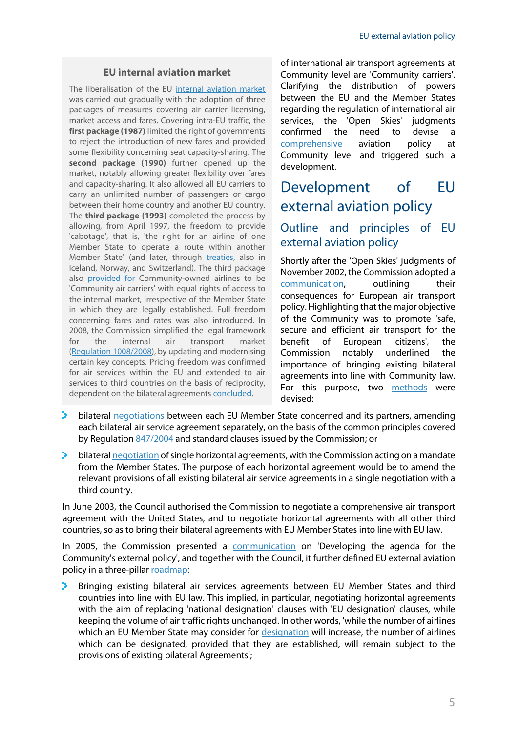### **EU internal aviation market**

The liberalisation of the EU [internal aviation market](http://www.europarl.europa.eu/thinktank/en/document.html?reference=EPRS_STU(2014)510987) was carried out gradually with the adoption of three packages of measures covering air carrier licensing, market access and fares. Covering intra-EU traffic, the **first package (1987)** limited the right of governments to reject the introduction of new fares and provided some flexibility concerning seat capacity-sharing. The **second package (1990)** further opened up the market, notably allowing greater flexibility over fares and capacity-sharing. It also allowed all EU carriers to carry an unlimited number of passengers or cargo between their home country and another EU country. The **third package (1993)** completed the process by allowing, from April 1997, the freedom to provide 'cabotage', that is, 'the right for an airline of one Member State to operate a route within another Member State' (and later, through [treaties,](http://www.itf-oecd.org/sites/default/files/docs/14airserviceagreements.pdf) also in Iceland, Norway, and Switzerland). The third package also [provided for](http://ec.europa.eu/transparency/regdoc/rep/1/2002/EN/1-2002-649-EN-F1-1.Pdf) Community-owned airlines to be 'Community air carriers' with equal rights of access to the internal market, irrespective of the Member State in which they are legally established. Full freedom concerning fares and rates was also introduced. In 2008, the Commission simplified the legal framework for the internal air transport market [\(Regulation](http://eur-lex.europa.eu/legal-content/EN/ALL/?uri=CELEX:32008R1008) 1008/2008), by updating and modernising certain key concepts. Pricing freedom was confirmed for air services within the EU and extended to air services to third countries on the basis of reciprocity, dependent on the bilateral agreements [concluded.](http://www.ladocumentationfrancaise.fr/var/storage/rapports-publics/134000597.pdf)

of international air transport agreements at Community level are 'Community carriers'. Clarifying the distribution of powers between the EU and the Member States regarding the regulation of international air services, the 'Open Skies' judgments confirmed the need to devise a [comprehensive](http://ec.europa.eu/transparency/regdoc/rep/1/2002/EN/1-2002-649-EN-F1-1.Pdf) aviation policy at Community level and triggered such a development.

# Development of EU external aviation policy

### Outline and principles of EU external aviation policy

Shortly after the 'Open Skies' judgments of November 2002, the Commission adopted a [communication,](http://ec.europa.eu/transparency/regdoc/rep/1/2002/EN/1-2002-649-EN-F1-1.Pdf) outlining their consequences for European air transport policy. Highlighting that the major objective of the Community was to promote 'safe, secure and efficient air transport for the benefit of European citizens', the Commission notably underlined the importance of bringing existing bilateral agreements into line with Community law. For this purpose, two [methods](http://eur-lex.europa.eu/LexUriServ/LexUriServ.do?uri=COM:2005:0079:FIN:EN:PDF) were devised:

- bilateral [negotiations](http://www.europarl.europa.eu/RegData/etudes/note/join/2013/495849/IPOL-TRAN_NT(2013)495849_EN.pdf) between each EU Member State concerned and its partners, amending each bilateral air service agreement separately, on the basis of the common principles covered by Regulation [847/2004](http://eur-lex.europa.eu/legal-content/EN/ALL/?uri=CELEX:32004R0847) and standard clauses issued by the Commission; or
- У. bilatera[l negotiation](http://ec.europa.eu/transport/modes/air/international_aviation/external_aviation_policy/horizontal_agreements_en.htm) of single horizontal agreements, with the Commission acting on a mandate from the Member States. The purpose of each horizontal agreement would be to amend the relevant provisions of all existing bilateral air service agreements in a single negotiation with a third country.

In June 2003, the Council authorised the Commission to negotiate a comprehensive air transport agreement with the United States, and to negotiate horizontal agreements with all other third countries, so as to bring their bilateral agreements with EU Member States into line with EU law.

In 2005, the Commission presented a [communication](http://eur-lex.europa.eu/LexUriServ/LexUriServ.do?uri=COM:2005:0079:FIN:EN:PDF) on 'Developing the agenda for the Community's external policy', and together with the Council, it further defined EU external aviation policy in a three-pilla[r roadmap:](http://ec.europa.eu/transport/modes/air/international_aviation/external_aviation_policy/index_en.htm)

Bringing existing bilateral air services agreements between EU Member States and third countries into line with EU law. This implied, in particular, negotiating horizontal agreements with the aim of replacing 'national designation' clauses with 'EU designation' clauses, while keeping the volume of air traffic rights unchanged. In other words, 'while the number of airlines which an EU Member State may consider for [designation](http://ec.europa.eu/transport/modes/air/international_aviation/doc/2005_10_12_info_note_faq_en.pdf) will increase, the number of airlines which can be designated, provided that they are established, will remain subject to the provisions of existing bilateral Agreements';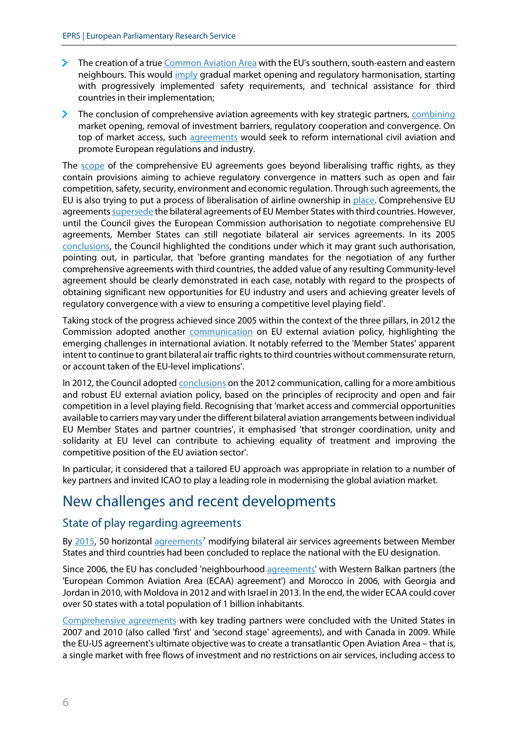- The creation of a tru[e Common Aviation Area](http://ec.europa.eu/transport/modes/air/international_aviation/doc/developent_aviation_policy.pdf) with the EU's southern, south-eastern and eastern neighbours. This would *[imply](http://ec.europa.eu/transport/modes/air/international_aviation/external_aviation_policy/neighbourhood_en.htm)* gradual market opening and regulatory harmonisation, starting with progressively implemented safety requirements, and technical assistance for third countries in their implementation;
- $\geq$  The conclusion of comprehensive aviation agreements with key strategic partners, [combining](http://ec.europa.eu/transport/modes/air/international_aviation/doc/developent_aviation_policy.pdf) market opening, removal of investment barriers, regulatory cooperation and convergence. On top of market access, such [agreements](http://ec.europa.eu/transport/modes/air/international_aviation/external_aviation_policy/global_partners_en.htm) would seek to reform international civil aviation and promote European regulations and industry.

The [scope](http://eur-lex.europa.eu/legal-content/EN/ALL/?uri=SWD:2015:261:FIN) of the comprehensive EU agreements goes beyond liberalising traffic rights, as they contain provisions aiming to achieve regulatory convergence in matters such as open and fair competition, safety, security, environment and economic regulation. Through such agreements, the EU is also trying to put a process of liberalisation of airline ownership in [place.](http://ec.europa.eu/transport/modes/air/international_aviation/external_aviation_policy/global_partners_en.htm) Comprehensive EU agreement[s supersede](http://eur-lex.europa.eu/legal-content/EN/ALL/?uri=SWD:2015:261:FIN) the bilateral agreements of EU Member States with third countries. However, until the Council gives the European Commission authorisation to negotiate comprehensive EU agreements, Member States can still negotiate bilateral air services agreements. In its 2005 [conclusions,](http://ec.europa.eu/transport/modes/air/international_aviation/country_index/doc/2005_06_council_conclusions_roadmap_en.pdf) the Council highlighted the conditions under which it may grant such authorisation, pointing out, in particular, that 'before granting mandates for the negotiation of any further comprehensive agreements with third countries, the added value of any resulting Community-level agreement should be clearly demonstrated in each case, notably with regard to the prospects of obtaining significant new opportunities for EU industry and users and achieving greater levels of regulatory convergence with a view to ensuring a competitive level playing field'.

Taking stock of the progress achieved since 2005 within the context of the three pillars, in 2012 the Commission adopted another [communication](https://eur-lex.europa.eu/legal-content/EN/TXT/?uri=COM%3A2012%3A0556%3AFIN) on EU external aviation policy, highlighting the emerging challenges in international aviation. It notably referred to the 'Member States' apparent intent to continue to grant bilateral air traffic rights to third countries without commensurate return, or account taken of the EU-level implications'.

In 2012, the Council adopte[d conclusions](http://ec.europa.eu/transport/modes/air/international_aviation/doc/tte_meeting_3213.pdf) on the 2012 communication, calling for a more ambitious and robust EU external aviation policy, based on the principles of reciprocity and open and fair competition in a level playing field. Recognising that 'market access and commercial opportunities available to carriers may vary under the different bilateral aviation arrangements between individual EU Member States and partner countries', it emphasised 'that stronger coordination, unity and solidarity at EU level can contribute to achieving equality of treatment and improving the competitive position of the EU aviation sector'.

In particular, it considered that a tailored EU approach was appropriate in relation to a number of key partners and invited ICAO to play a leading role in modernising the global aviation market.

# New challenges and recent developments

### State of play regarding agreements

By [2015,](http://eur-lex.europa.eu/legal-content/EN/ALL/?uri=SWD:2015:261:FIN) 50 horizontal [agreements](https://ec.europa.eu/transport/modes/air/international_aviation/external_aviation_policy/horizontal_agreements_en)<sup>[7](#page-10-6)</sup> modifying bilateral air services agreements between Member States and third countries had been concluded to replace the national with the EU designation.

Since 2006, the EU has concluded 'neighbourhood [agreements'](http://ec.europa.eu/transport/modes/air/international_aviation/external_aviation_policy/neighbourhood_en.htm) with Western Balkan partners (the 'European Common Aviation Area (ECAA) agreement') and Morocco in 2006, with Georgia and Jordan in 2010, with Moldova in 2012 and with Israel in 2013. In the end, the wider ECAA could cover over 50 states with a total population of 1 billion inhabitants.

[Comprehensive agreements](http://ec.europa.eu/transport/modes/air/aos/aos_public.html) with key trading partners were concluded with the United States in 2007 and 2010 (also called 'first' and 'second stage' agreements), and with Canada in 2009. While the EU-US agreement's ultimate objective was to create a transatlantic Open Aviation Area – that is, a single market with free flows of investment and no restrictions on air services, including access to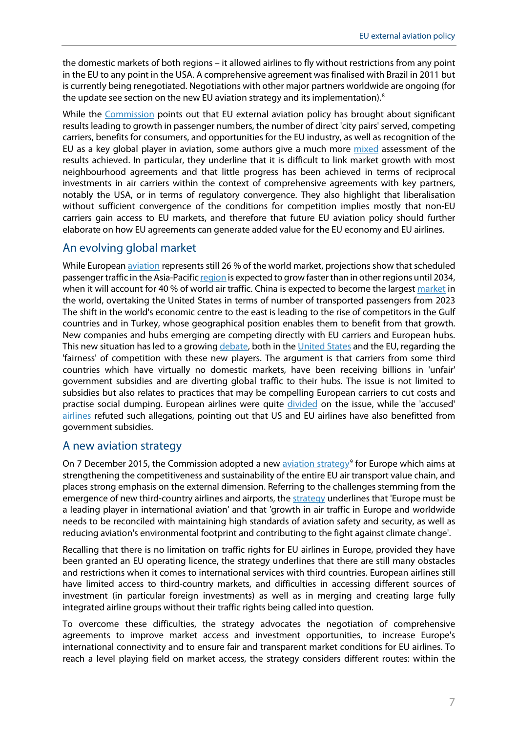the domestic markets of both regions – it allowed airlines to fly without restrictions from any point in the EU to any point in the USA. A comprehensive agreement was finalised with Brazil in 2011 but is currently being renegotiated. Negotiations with other major partners worldwide are ongoing (for the update see section on the new EU aviation strategy and its implementation).<sup>[8](#page-10-7)</sup>

While the [Commission](http://eur-lex.europa.eu/legal-content/EN/ALL/?uri=SWD:2015:261:FIN) points out that EU external aviation policy has brought about significant results leading to growth in passenger numbers, the number of direct 'city pairs' served, competing carriers, benefits for consumers, and opportunities for the EU industry, as well as recognition of the EU as a key global player in aviation, some authors give a much more [mixed](http://www.europarl.europa.eu/RegData/etudes/note/join/2013/495849/IPOL-TRAN_NT(2013)495849_EN.pdf) assessment of the results achieved. In particular, they underline that it is difficult to link market growth with most neighbourhood agreements and that little progress has been achieved in terms of reciprocal investments in air carriers within the context of comprehensive agreements with key partners, notably the USA, or in terms of regulatory convergence. They also highlight that liberalisation without sufficient convergence of the conditions for competition implies mostly that non-EU carriers gain access to EU markets, and therefore that future EU aviation policy should further elaborate on how EU agreements can generate added value for the EU economy and EU airlines.

### An evolving global market

While European [aviation](https://eur-lex.europa.eu/legal-content/EN/TXT/?uri=COM:2017:286:FIN) represents still 26 % of the world market, projections show that scheduled passenger traffic in the Asia-Pacific [region](https://eur-lex.europa.eu/legal-content/EN/ALL/?uri=SWD:2015:261:FIN) is expected to grow faster than in other regions until 2034, when it will account for 40 % of world air traffic. China is expected to become the largest [market](https://ec.europa.eu/transport/sites/transport/files/2016_eu_air_transport_industry_analyses_report.pdf) in the world, overtaking the United States in terms of number of transported passengers from 2023 The shift in the world's economic centre to the east is leading to the rise of competitors in the Gulf countries and in Turkey, whose geographical position enables them to benefit from that growth. New companies and hubs emerging are competing directly with EU carriers and European hubs. This new situation has led to a growin[g debate,](http://www.euractiv.com/sections/transport/gulf-airlines-hit-back-european-competition-complaints-313401) both in th[e United States](http://fas.org/sgp/crs/misc/R44016.pdf) and the EU, regarding the 'fairness' of competition with these new players. The argument is that carriers from some third countries which have virtually no domestic markets, have been receiving billions in 'unfair' government subsidies and are diverting global traffic to their hubs. The issue is not limited to subsidies but also relates to practices that may be compelling European carriers to cut costs and practise social dumping. European airlines were quite [divided](http://www.routesonline.com/news/29/breaking-news/248467/airberlin-joins-ba-and-iberia-in-departure-from-aea/) on the issue, while the 'accused' [airlines](http://www.euractiv.com/sections/transport/gulf-airlines-hit-back-european-competition-complaints-313401) refuted such allegations, pointing out that US and EU airlines have also benefitted from government subsidies.

### A new aviation strategy

On 7 December 2015, the Commission adopted a new [aviation strategy](http://ec.europa.eu/transport/modes/air/aviation-strategy/index_en.htm)<sup>[9](#page-10-8)</sup> for Europe which aims at strengthening the competitiveness and sustainability of the entire EU air transport value chain, and places strong emphasis on the external dimension. Referring to the challenges stemming from the emergence of new third-country airlines and airports, th[e strategy](http://eur-lex.europa.eu/legal-content/EN/ALL/?uri=COM:2015:598:FIN) underlines that 'Europe must be a leading player in international aviation' and that 'growth in air traffic in Europe and worldwide needs to be reconciled with maintaining high standards of aviation safety and security, as well as reducing aviation's environmental footprint and contributing to the fight against climate change'.

Recalling that there is no limitation on traffic rights for EU airlines in Europe, provided they have been granted an EU operating licence, the strategy underlines that there are still many obstacles and restrictions when it comes to international services with third countries. European airlines still have limited access to third-country markets, and difficulties in accessing different sources of investment (in particular foreign investments) as well as in merging and creating large fully integrated airline groups without their traffic rights being called into question.

To overcome these difficulties, the strategy advocates the negotiation of comprehensive agreements to improve market access and investment opportunities, to increase Europe's international connectivity and to ensure fair and transparent market conditions for EU airlines. To reach a level playing field on market access, the strategy considers different routes: within the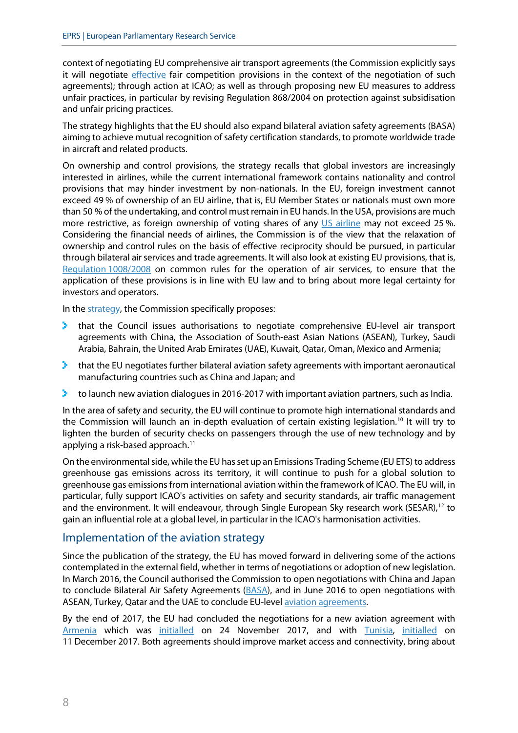context of negotiating EU comprehensive air transport agreements (the Commission explicitly says it will negotiate [effective](http://eur-lex.europa.eu/legal-content/EN/TXT/PDF/?uri=CELEX:52015DC0598&from=EN) fair competition provisions in the context of the negotiation of such agreements); through action at ICAO; as well as through proposing new EU measures to address unfair practices, in particular by revising Regulation 868/2004 on protection against subsidisation and unfair pricing practices.

The strategy highlights that the EU should also expand bilateral aviation safety agreements (BASA) aiming to achieve mutual recognition of safety certification standards, to promote worldwide trade in aircraft and related products.

On ownership and control provisions, the strategy recalls that global investors are increasingly interested in airlines, while the current international framework contains nationality and control provisions that may hinder investment by non-nationals. In the EU, foreign investment cannot exceed 49 % of ownership of an EU airline, that is, EU Member States or nationals must own more than 50 % of the undertaking, and control must remain in EU hands. In the USA, provisions are much more restrictive, as foreign ownership of voting shares of any [US airline](https://eur-lex.europa.eu/legal-content/EN/TXT/?uri=COM:2012:0556:FIN) may not exceed 25%. Considering the financial needs of airlines, the Commission is of the view that the relaxation of ownership and control rules on the basis of effective reciprocity should be pursued, in particular through bilateral air services and trade agreements. It will also look at existing EU provisions, that is, [Regulation](http://eur-lex.europa.eu/legal-content/EN/ALL/?uri=CELEX%3A32008R1008) 1008/2008 on common rules for the operation of air services, to ensure that the application of these provisions is in line with EU law and to bring about more legal certainty for investors and operators.

In th[e strategy,](https://eur-lex.europa.eu/legal-content/EN/ALL/?uri=COM:2015:598:FIN) the Commission specifically proposes:

- that the Council issues authorisations to negotiate comprehensive EU-level air transport agreements with China, the Association of South-east Asian Nations (ASEAN), Turkey, Saudi Arabia, Bahrain, the United Arab Emirates (UAE), Kuwait, Qatar, Oman, Mexico and Armenia;
- **that the EU negotiates further bilateral aviation safety agreements with important aeronautical** manufacturing countries such as China and Japan; and
- to launch new aviation dialogues in 2016-2017 with important aviation partners, such as India.

In the area of safety and security, the EU will continue to promote high international standards and the Commission will launch an in-depth evaluation of certain existing legislation.<sup>[10](#page-10-9)</sup> It will try to lighten the burden of security checks on passengers through the use of new technology and by applying a risk-based approach.<sup>[11](#page-10-10)</sup>

On the environmental side, while the EU has set up an Emissions Trading Scheme (EU ETS) to address greenhouse gas emissions across its territory, it will continue to push for a global solution to greenhouse gas emissions from international aviation within the framework of ICAO. The EU will, in particular, fully support ICAO's activities on safety and security standards, air traffic management and the environment. It will endeavour, through Single European Sky research work (SESAR),<sup>[12](#page-10-11)</sup> to gain an influential role at a global level, in particular in the ICAO's harmonisation activities.

### Implementation of the aviation strategy

Since the publication of the strategy, the EU has moved forward in delivering some of the actions contemplated in the external field, whether in terms of negotiations or adoption of new legislation. In March 2016, the Council authorised the Commission to open negotiations with China and Japan to conclude Bilateral Air Safety Agreements [\(BASA\)](http://europa.eu/rapid/press-release_IP-16-661_en.htm), and in June 2016 to open negotiations with ASEAN, Turkey, Qatar and the UAE to conclude EU-level [aviation agreements.](https://ec.europa.eu/transport/modes/air/news/2016-06-07-council-aviation-agreements_en)

By the end of 2017, the EU had concluded the negotiations for a new aviation agreement with [Armenia](https://ec.europa.eu/transport/modes/air/news/2017-11-24-aviation-agreements_en) which was [initialled](https://ec.europa.eu/transport/sites/transport/files/aviation-factsheet-tunisia.pdf) on 24 November 2017, and with [Tunisia,](https://ec.europa.eu/transport/modes/air/news/2017-12-11-aviation-eu-concludes-negotiations-tunisia-new-aviation-agreement_en) initialled on 11 December 2017. Both agreements should improve market access and connectivity, bring about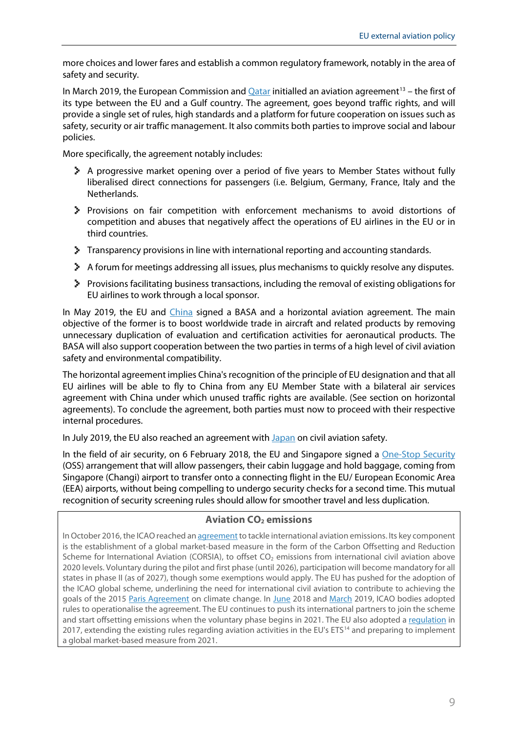more choices and lower fares and establish a common regulatory framework, notably in the area of safety and security.

In March 2019, the European Commission an[d Qatar](https://ec.europa.eu/transport/modes/air/news/2019-03-04-eu-and-qatar-reach-aviation-agreement_en) initialled an aviation agreement<sup>13</sup> – the first of its type between the EU and a Gulf country. The agreement, goes beyond traffic rights, and will provide a single set of rules, high standards and a platform for future cooperation on issues such as safety, security or air traffic management. It also commits both parties to improve social and labour policies.

More specifically, the agreement notably includes:

- A progressive market opening over a period of five years to Member States without fully liberalised direct connections for passengers (i.e. Belgium, Germany, France, Italy and the Netherlands.
- Provisions on fair competition with enforcement mechanisms to avoid distortions of competition and abuses that negatively affect the operations of EU airlines in the EU or in third countries.
- Transparency provisions in line with international reporting and accounting standards.
- A forum for meetings addressing all issues, plus mechanisms to quickly resolve any disputes.
- Provisions facilitating business transactions, including the removal of existing obligations for EU airlines to work through a local sponsor.

In May 2019, the EU and [China](https://ec.europa.eu/transport/modes/air/news/2019-05-20-aviation-agreements-china_en) signed a BASA and a horizontal aviation agreement. The main objective of the former is to boost worldwide trade in aircraft and related products by removing unnecessary duplication of evaluation and certification activities for aeronautical products. The BASA will also support cooperation between the two parties in terms of a high level of civil aviation safety and environmental compatibility.

The horizontal agreement implies China's recognition of the principle of EU designation and that all EU airlines will be able to fly to China from any EU Member State with a bilateral air services agreement with China under which unused traffic rights are available. (See section on horizontal agreements). To conclude the agreement, both parties must now to proceed with their respective internal procedures.

In July 2019, the EU also reached an agreement wit[h Japan](https://ec.europa.eu/transport/modes/air/news/2019-07-29-aviation-safety-cooperation-japan_en) on civil aviation safety.

In the field of air security, on 6 February 2018, the EU and Singapore signed a [One-Stop Security](https://ec.europa.eu/transport/modes/air/news/2018-02-06-eu-singapore-security-arrangement_en) (OSS) arrangement that will allow passengers, their cabin luggage and hold baggage, coming from Singapore (Changi) airport to transfer onto a connecting flight in the EU/ European Economic Area (EEA) airports, without being compelling to undergo security checks for a second time. This mutual recognition of security screening rules should allow for smoother travel and less duplication.

### **Aviation CO2 emissions**

In October 2016, the ICAO reached an agreement to tackle international aviation emissions. Its key component is the establishment of a global market-based measure in the form of the Carbon Offsetting and Reduction Scheme for International Aviation (CORSIA), to offset  $CO<sub>2</sub>$  emissions from international civil aviation above 2020 levels. Voluntary during the pilot and first phase (until 2026), participation will become mandatory for all states in phase II (as of 2027), though some exemptions would apply. The EU has pushed for the adoption of the ICAO global scheme, underlining the need for international civil aviation to contribute to achieving the goals of the 2015 [Paris Agreement](https://www.europarl.europa.eu/thinktank/en/document.html?reference=EPRS_BRI%282016%29573910) on climate change. In [June](https://ec.europa.eu/transport/modes/air/news/2018-06-29-endorsement-icao-standard_en) 2018 and [March](https://ec.europa.eu/transport/modes/air/news/2019-03-07-european-commission-welcomes-significant-progress-icao-tackle-co2_en) 2019, ICAO bodies adopted rules to operationalise the agreement. The EU continues to push its international partners to join the scheme and start offsetting emissions when the voluntary phase begins in 2021. The EU also adopted a [regulation](https://www.europarl.europa.eu/legislative-train/theme-resilient-energy-union-with-a-climate-change-policy/file-eu-ets-aviation-implementation-of-the-2016-icao-agreement) in 2017, extending the existing rules regarding aviation activities in the EU's ETS<sup>[14](#page-10-13)</sup> and preparing to implement a global market-based measure from 2021.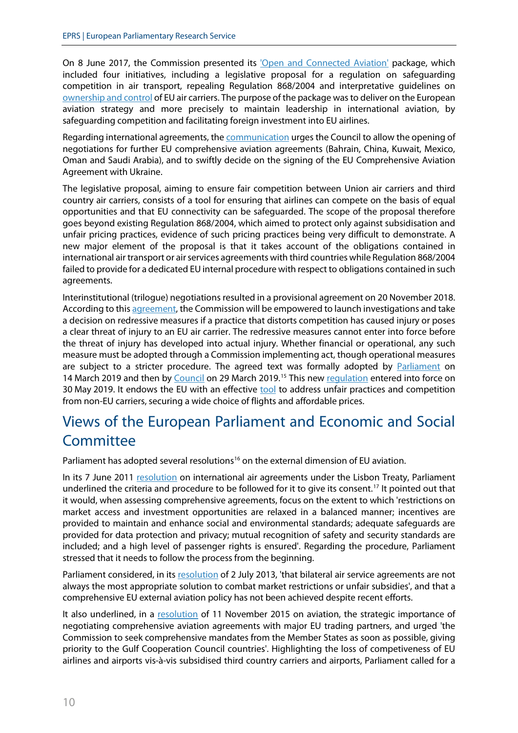On 8 June 2017, the Commission presented its ['Open and Connected Aviation'](http://europa.eu/rapid/press-release_IP-17-1552_en.htm) package, which included four initiatives, including a legislative proposal for a regulation on safeguarding competition in air transport, repealing Regulation 868/2004 and interpretative guidelines on [ownership and control](https://ec.europa.eu/transport/sites/transport/files/c20173711-guidelines-ownership-control-carriers.pdf) of EU air carriers. The purpose of the package wasto deliver on the European aviation strategy and more precisely to maintain leadership in international aviation, by safeguarding competition and facilitating foreign investment into EU airlines.

Regarding international agreements, the **communication** urges the Council to allow the opening of negotiations for further EU comprehensive aviation agreements (Bahrain, China, Kuwait, Mexico, Oman and Saudi Arabia), and to swiftly decide on the signing of the EU Comprehensive Aviation Agreement with Ukraine.

The legislative proposal, aiming to ensure fair competition between Union air carriers and third country air carriers, consists of a tool for ensuring that airlines can compete on the basis of equal opportunities and that EU connectivity can be safeguarded. The scope of the proposal therefore goes beyond existing Regulation 868/2004, which aimed to protect only against subsidisation and unfair pricing practices, evidence of such pricing practices being very difficult to demonstrate. A new major element of the proposal is that it takes account of the obligations contained in international air transport or air services agreements with third countries while Regulation 868/2004 failed to provide for a dedicated EU internal procedure with respect to obligations contained in such agreements.

Interinstitutional (trilogue) negotiations resulted in a provisional agreement on 20 November 2018. According to this [agreement,](https://www.consilium.europa.eu/en/press/press-releases/2018/12/12/air-transport-fair-competition-rules-council-backs-provisional-deal/) the Commission will be empowered to launch investigations and take a decision on redressive measures if a practice that distorts competition has caused injury or poses a clear threat of injury to an EU air carrier. The redressive measures cannot enter into force before the threat of injury has developed into actual injury. Whether financial or operational, any such measure must be adopted through a Commission implementing act, though operational measures are subject to a stricter procedure. The agreed text was formally adopted by [Parliament](http://www.europarl.europa.eu/sides/getDoc.do?type=TA&language=EN&reference=P8-TA-2019-0209) on 14 March 2019 and then by [Council](https://data.consilium.europa.eu/doc/document/PE-77-2018-INIT/en/pdf) on 29 March 2019.<sup>[15](#page-10-14)</sup> This ne[w regulation](https://eur-lex.europa.eu/legal-content/EN/TXT/?uri=uriserv:OJ.L_.2019.123.01.0004.01.ENG) entered into force on 30 May 2019. It endows the EU with an effective [tool](https://www.consilium.europa.eu/en/press/press-releases/2019/04/09/air-transport-fair-competition-law-signed-off-by-council/) to address unfair practices and competition from non-EU carriers, securing a wide choice of flights and affordable prices.

# Views of the European Parliament and Economic and Social **Committee**

Parliament has adopted several resolutions<sup>16</sup> on the external dimension of EU aviation.

In its 7 June 2011 [resolution](http://www.europarl.europa.eu/sides/getDoc.do?type=TA&language=EN&reference=P7-TA-2011-251) on international air agreements under the Lisbon Treaty, Parliament underlined the criteria and procedure to be followed for it to give its consent.<sup>[17](#page-10-16)</sup> It pointed out that it would, when assessing comprehensive agreements, focus on the extent to which 'restrictions on market access and investment opportunities are relaxed in a balanced manner; incentives are provided to maintain and enhance social and environmental standards; adequate safeguards are provided for data protection and privacy; mutual recognition of safety and security standards are included; and a high level of passenger rights is ensured'. Regarding the procedure, Parliament stressed that it needs to follow the process from the beginning.

Parliament considered, in its [resolution](http://www.europarl.europa.eu/sides/getDoc.do?type=TA&language=EN&reference=P7-TA-2013-290) of 2 July 2013, 'that bilateral air service agreements are not always the most appropriate solution to combat market restrictions or unfair subsidies', and that a comprehensive EU external aviation policy has not been achieved despite recent efforts.

It also underlined, in a [resolution](http://www.europarl.europa.eu/sides/getDoc.do?type=TA&language=EN&reference=P8-TA-2015-0394) of 11 November 2015 on aviation, the strategic importance of negotiating comprehensive aviation agreements with major EU trading partners, and urged 'the Commission to seek comprehensive mandates from the Member States as soon as possible, giving priority to the Gulf Cooperation Council countries'. Highlighting the loss of competiveness of EU airlines and airports vis-à-vis subsidised third country carriers and airports, Parliament called for a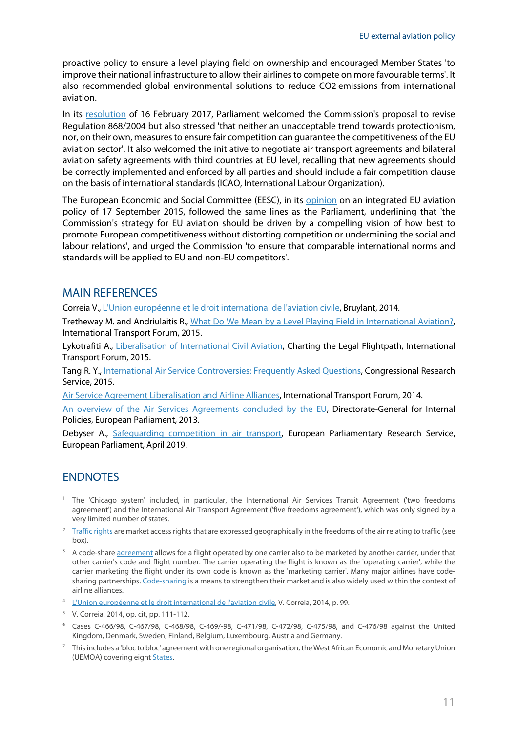<span id="page-10-7"></span>proactive policy to ensure a level playing field on ownership and encouraged Member States 'to improve their national infrastructure to allow their airlines to compete on more favourable terms'. It also recommended global environmental solutions to reduce CO2 emissions from international aviation.

<span id="page-10-10"></span><span id="page-10-9"></span><span id="page-10-8"></span>In its [resolution](https://www.europarl.europa.eu/doceo/document/TA-8-2017-0054_EN.html?redirect) of 16 February 2017, Parliament welcomed the Commission's proposal to revise Regulation 868/2004 but also stressed 'that neither an unacceptable trend towards protectionism, nor, on their own, measures to ensure fair competition can guarantee the competitiveness of the EU aviation sector'. It also welcomed the initiative to negotiate air transport agreements and bilateral aviation safety agreements with third countries at EU level, recalling that new agreements should be correctly implemented and enforced by all parties and should include a fair competition clause on the basis of international standards (ICAO, International Labour Organization).

<span id="page-10-13"></span><span id="page-10-12"></span><span id="page-10-11"></span>The European Economic and Social Committee (EESC), in its [opinion](http://www.eesc.europa.eu/?i=portal.en.ten-opinions.35317) on an integrated EU aviation policy of 17 September 2015, followed the same lines as the Parliament, underlining that 'the Commission's strategy for EU aviation should be driven by a compelling vision of how best to promote European competitiveness without distorting competition or undermining the social and labour relations', and urged the Commission 'to ensure that comparable international norms and standards will be applied to EU and non-EU competitors'.

### <span id="page-10-14"></span>MAIN REFERENCES

<span id="page-10-15"></span>Correia V.[, L'Union européenne et le droit international de l'aviation civile,](http://fr.bruylant.larciergroup.com/titres/131421_2/l-union-europeenne-et-le-droit-international-de-l-aviation-civile.html) Bruylant, 2014.

Tretheway M. and Andriulaitis R., [What Do We Mean by a Level Playing Field in International Aviation?,](http://www.itf-oecd.org/sites/default/files/docs/dp201506.pdf) International Transport Forum, 2015.

<span id="page-10-16"></span>Lykotrafiti A., [Liberalisation of International Civil Aviation,](http://www.itf-oecd.org/sites/default/files/docs/dp201518.pdf) Charting the Legal Flightpath, International Transport Forum, 2015.

Tang R. Y., [International Air Service Controversies: Frequently Asked Questions,](http://fas.org/sgp/crs/misc/R44016.pdf) Congressional Research Service, 2015.

[Air Service Agreement Liberalisation and Airline Alliances,](http://www.itf-oecd.org/sites/default/files/docs/14airserviceagreements.pdf) International Transport Forum, 2014.

[An overview of the Air Services Agreements concluded by the EU,](http://www.europarl.europa.eu/RegData/etudes/note/join/2013/495849/IPOL-TRAN_NT(2013)495849_EN.pdf) Directorate-General for Internal Policies, European Parliament, 2013.

Debyser A., [Safeguarding competition in air transport,](https://www.europarl.europa.eu/RegData/etudes/BRIE/2017/608689/EPRS_BRI(2017)608689_EN.pdf) European Parliamentary Research Service, European Parliament, April 2019.

## **ENDNOTES**

- <span id="page-10-0"></span><sup>1</sup> The 'Chicago system' included, in particular, the International Air Services Transit Agreement ('two freedoms agreement') and the International Air Transport Agreement ('five freedoms agreement'), which was only signed by a very limited number of states.
- <span id="page-10-1"></span><sup>2</sup> [Traffic rights](http://www.icao.int/Meetings/atconf6/Documents/Doc%209626_en.pdf) are market access rights that are expressed geographically in the freedoms of the air relating to traffic (see box).
- <span id="page-10-2"></span><sup>3</sup> A code-shar[e agreement](http://ec.europa.eu/competition/sectors/transport/reports/airlinecodeshare.pdf) allows for a flight operated by one carrier also to be marketed by another carrier, under that other carrier's code and flight number. The carrier operating the flight is known as the 'operating carrier', while the carrier marketing the flight under its own code is known as the 'marketing carrier'. Many major airlines have code-sharing partnerships[. Code-sharing](https://www.fas.org/sgp/crs/misc/R44016.pdf) is a means to strengthen their market and is also widely used within the context of airline alliances.
- <span id="page-10-3"></span>4 [L'Union européenne et le droit international de l'aviation civile,](http://en.bruylant.larciergroup.com/titres/131421_2/l-union-europeenne-et-le-droit-international-de-l-aviation-civile.html) V. Correia, 2014, p. 99.
- <span id="page-10-4"></span><sup>5</sup> V. Correia, 2014, op. cit, pp. 111-112.
- <span id="page-10-5"></span><sup>6</sup> Cases C-466/98, C-467/98, C-468/98, C-469/-98, C-471/98, C-472/98, C-475/98, and C-476/98 against the United Kingdom, Denmark, Sweden, Finland, Belgium, Luxembourg, Austria and Germany.
- <span id="page-10-6"></span> $7$  This includes a 'bloc to bloc' agreement with one regional organisation, the West African Economic and Monetary Union (UEMOA) covering eight [States.](https://ec.europa.eu/transport/modes/air/international_aviation/external_aviation_policy/horizontal_agreements_en)